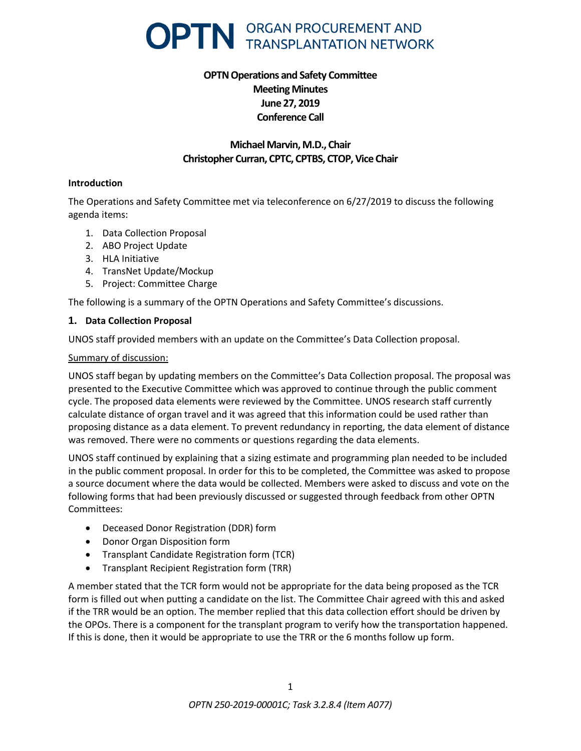

# **OPTN Operations and Safety Committee Meeting Minutes June 27, 2019 Conference Call**

# **Michael Marvin, M.D., Chair Christopher Curran, CPTC, CPTBS, CTOP, Vice Chair**

#### **Introduction**

The Operations and Safety Committee met via teleconference on 6/27/2019 to discuss the following agenda items:

- 1. Data Collection Proposal
- 2. ABO Project Update
- 3. HLA Initiative
- 4. TransNet Update/Mockup
- 5. Project: Committee Charge

The following is a summary of the OPTN Operations and Safety Committee's discussions.

### **1. Data Collection Proposal**

UNOS staff provided members with an update on the Committee's Data Collection proposal.

### Summary of discussion:

UNOS staff began by updating members on the Committee's Data Collection proposal. The proposal was presented to the Executive Committee which was approved to continue through the public comment cycle. The proposed data elements were reviewed by the Committee. UNOS research staff currently calculate distance of organ travel and it was agreed that this information could be used rather than proposing distance as a data element. To prevent redundancy in reporting, the data element of distance was removed. There were no comments or questions regarding the data elements.

UNOS staff continued by explaining that a sizing estimate and programming plan needed to be included in the public comment proposal. In order for this to be completed, the Committee was asked to propose a source document where the data would be collected. Members were asked to discuss and vote on the following forms that had been previously discussed or suggested through feedback from other OPTN Committees:

- Deceased Donor Registration (DDR) form
- Donor Organ Disposition form
- Transplant Candidate Registration form (TCR)
- Transplant Recipient Registration form (TRR)

A member stated that the TCR form would not be appropriate for the data being proposed as the TCR form is filled out when putting a candidate on the list. The Committee Chair agreed with this and asked if the TRR would be an option. The member replied that this data collection effort should be driven by the OPOs. There is a component for the transplant program to verify how the transportation happened. If this is done, then it would be appropriate to use the TRR or the 6 months follow up form.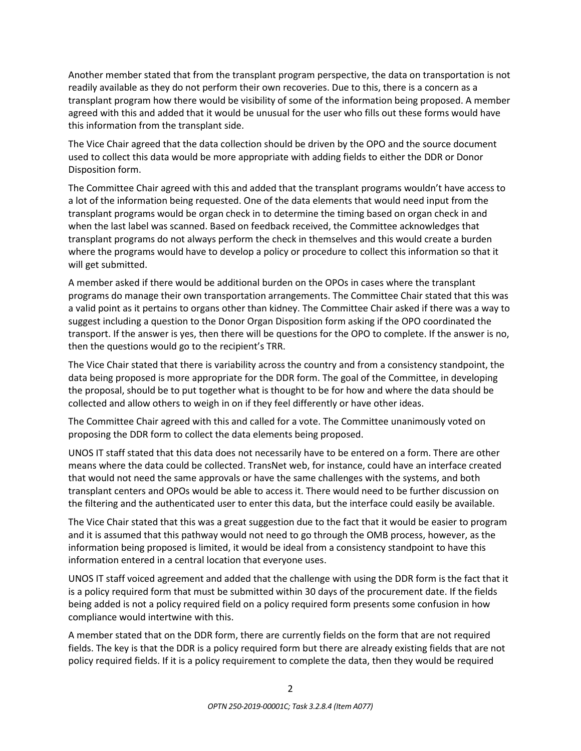Another member stated that from the transplant program perspective, the data on transportation is not readily available as they do not perform their own recoveries. Due to this, there is a concern as a transplant program how there would be visibility of some of the information being proposed. A member agreed with this and added that it would be unusual for the user who fills out these forms would have this information from the transplant side.

The Vice Chair agreed that the data collection should be driven by the OPO and the source document used to collect this data would be more appropriate with adding fields to either the DDR or Donor Disposition form.

The Committee Chair agreed with this and added that the transplant programs wouldn't have access to a lot of the information being requested. One of the data elements that would need input from the transplant programs would be organ check in to determine the timing based on organ check in and when the last label was scanned. Based on feedback received, the Committee acknowledges that transplant programs do not always perform the check in themselves and this would create a burden where the programs would have to develop a policy or procedure to collect this information so that it will get submitted.

A member asked if there would be additional burden on the OPOs in cases where the transplant programs do manage their own transportation arrangements. The Committee Chair stated that this was a valid point as it pertains to organs other than kidney. The Committee Chair asked if there was a way to suggest including a question to the Donor Organ Disposition form asking if the OPO coordinated the transport. If the answer is yes, then there will be questions for the OPO to complete. If the answer is no, then the questions would go to the recipient's TRR.

The Vice Chair stated that there is variability across the country and from a consistency standpoint, the data being proposed is more appropriate for the DDR form. The goal of the Committee, in developing the proposal, should be to put together what is thought to be for how and where the data should be collected and allow others to weigh in on if they feel differently or have other ideas.

The Committee Chair agreed with this and called for a vote. The Committee unanimously voted on proposing the DDR form to collect the data elements being proposed.

UNOS IT staff stated that this data does not necessarily have to be entered on a form. There are other means where the data could be collected. TransNet web, for instance, could have an interface created that would not need the same approvals or have the same challenges with the systems, and both transplant centers and OPOs would be able to access it. There would need to be further discussion on the filtering and the authenticated user to enter this data, but the interface could easily be available.

The Vice Chair stated that this was a great suggestion due to the fact that it would be easier to program and it is assumed that this pathway would not need to go through the OMB process, however, as the information being proposed is limited, it would be ideal from a consistency standpoint to have this information entered in a central location that everyone uses.

UNOS IT staff voiced agreement and added that the challenge with using the DDR form is the fact that it is a policy required form that must be submitted within 30 days of the procurement date. If the fields being added is not a policy required field on a policy required form presents some confusion in how compliance would intertwine with this.

A member stated that on the DDR form, there are currently fields on the form that are not required fields. The key is that the DDR is a policy required form but there are already existing fields that are not policy required fields. If it is a policy requirement to complete the data, then they would be required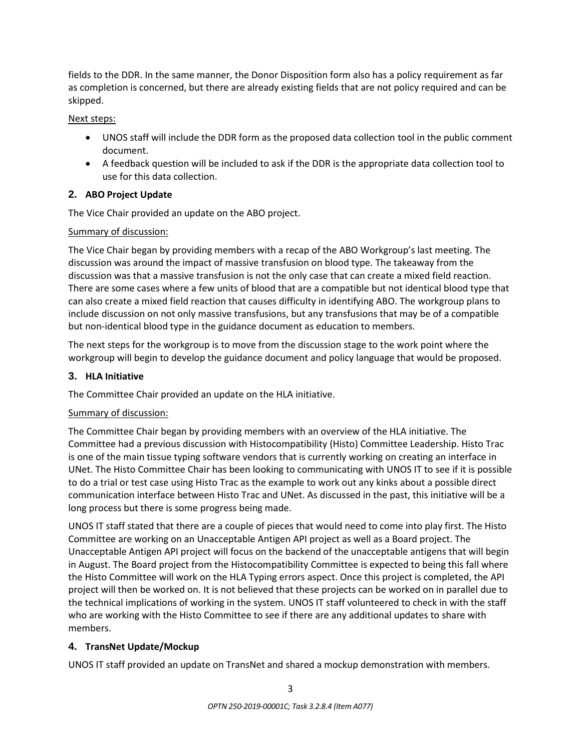fields to the DDR. In the same manner, the Donor Disposition form also has a policy requirement as far as completion is concerned, but there are already existing fields that are not policy required and can be skipped.

### Next steps:

- UNOS staff will include the DDR form as the proposed data collection tool in the public comment document.
- A feedback question will be included to ask if the DDR is the appropriate data collection tool to use for this data collection.

### **2. ABO Project Update**

The Vice Chair provided an update on the ABO project.

# Summary of discussion:

The Vice Chair began by providing members with a recap of the ABO Workgroup's last meeting. The discussion was around the impact of massive transfusion on blood type. The takeaway from the discussion was that a massive transfusion is not the only case that can create a mixed field reaction. There are some cases where a few units of blood that are a compatible but not identical blood type that can also create a mixed field reaction that causes difficulty in identifying ABO. The workgroup plans to include discussion on not only massive transfusions, but any transfusions that may be of a compatible but non-identical blood type in the guidance document as education to members.

The next steps for the workgroup is to move from the discussion stage to the work point where the workgroup will begin to develop the guidance document and policy language that would be proposed.

### **3. HLA Initiative**

The Committee Chair provided an update on the HLA initiative.

### Summary of discussion:

The Committee Chair began by providing members with an overview of the HLA initiative. The Committee had a previous discussion with Histocompatibility (Histo) Committee Leadership. Histo Trac is one of the main tissue typing software vendors that is currently working on creating an interface in UNet. The Histo Committee Chair has been looking to communicating with UNOS IT to see if it is possible to do a trial or test case using Histo Trac as the example to work out any kinks about a possible direct communication interface between Histo Trac and UNet. As discussed in the past, this initiative will be a long process but there is some progress being made.

UNOS IT staff stated that there are a couple of pieces that would need to come into play first. The Histo Committee are working on an Unacceptable Antigen API project as well as a Board project. The Unacceptable Antigen API project will focus on the backend of the unacceptable antigens that will begin in August. The Board project from the Histocompatibility Committee is expected to being this fall where the Histo Committee will work on the HLA Typing errors aspect. Once this project is completed, the API project will then be worked on. It is not believed that these projects can be worked on in parallel due to the technical implications of working in the system. UNOS IT staff volunteered to check in with the staff who are working with the Histo Committee to see if there are any additional updates to share with members.

# **4. TransNet Update/Mockup**

UNOS IT staff provided an update on TransNet and shared a mockup demonstration with members.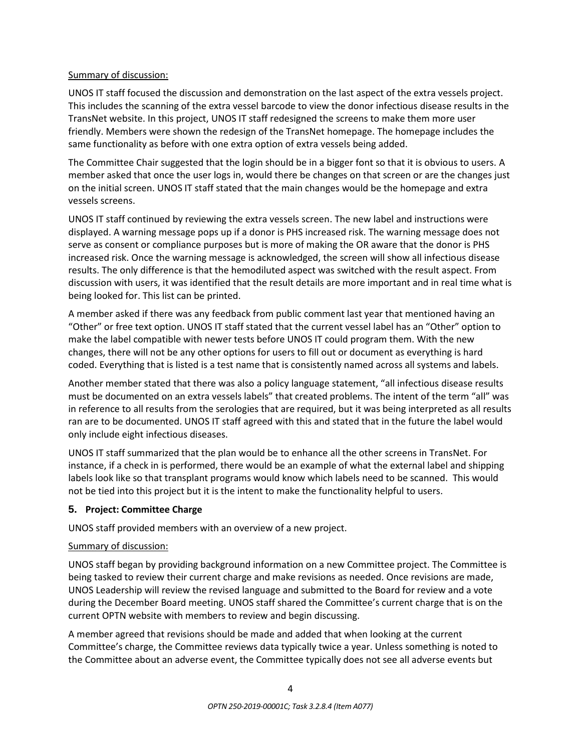### Summary of discussion:

UNOS IT staff focused the discussion and demonstration on the last aspect of the extra vessels project. This includes the scanning of the extra vessel barcode to view the donor infectious disease results in the TransNet website. In this project, UNOS IT staff redesigned the screens to make them more user friendly. Members were shown the redesign of the TransNet homepage. The homepage includes the same functionality as before with one extra option of extra vessels being added.

The Committee Chair suggested that the login should be in a bigger font so that it is obvious to users. A member asked that once the user logs in, would there be changes on that screen or are the changes just on the initial screen. UNOS IT staff stated that the main changes would be the homepage and extra vessels screens.

UNOS IT staff continued by reviewing the extra vessels screen. The new label and instructions were displayed. A warning message pops up if a donor is PHS increased risk. The warning message does not serve as consent or compliance purposes but is more of making the OR aware that the donor is PHS increased risk. Once the warning message is acknowledged, the screen will show all infectious disease results. The only difference is that the hemodiluted aspect was switched with the result aspect. From discussion with users, it was identified that the result details are more important and in real time what is being looked for. This list can be printed.

A member asked if there was any feedback from public comment last year that mentioned having an "Other" or free text option. UNOS IT staff stated that the current vessel label has an "Other" option to make the label compatible with newer tests before UNOS IT could program them. With the new changes, there will not be any other options for users to fill out or document as everything is hard coded. Everything that is listed is a test name that is consistently named across all systems and labels.

Another member stated that there was also a policy language statement, "all infectious disease results must be documented on an extra vessels labels" that created problems. The intent of the term "all" was in reference to all results from the serologies that are required, but it was being interpreted as all results ran are to be documented. UNOS IT staff agreed with this and stated that in the future the label would only include eight infectious diseases.

UNOS IT staff summarized that the plan would be to enhance all the other screens in TransNet. For instance, if a check in is performed, there would be an example of what the external label and shipping labels look like so that transplant programs would know which labels need to be scanned. This would not be tied into this project but it is the intent to make the functionality helpful to users.

### **5. Project: Committee Charge**

UNOS staff provided members with an overview of a new project.

### Summary of discussion:

UNOS staff began by providing background information on a new Committee project. The Committee is being tasked to review their current charge and make revisions as needed. Once revisions are made, UNOS Leadership will review the revised language and submitted to the Board for review and a vote during the December Board meeting. UNOS staff shared the Committee's current charge that is on the current OPTN website with members to review and begin discussing.

A member agreed that revisions should be made and added that when looking at the current Committee's charge, the Committee reviews data typically twice a year. Unless something is noted to the Committee about an adverse event, the Committee typically does not see all adverse events but